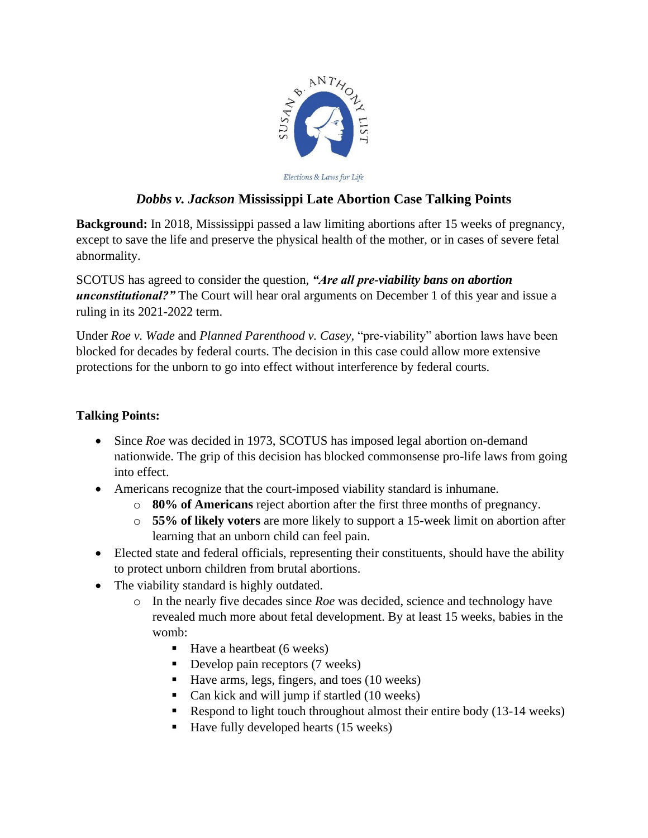

Elections & Laws for Life

## *Dobbs v. Jackson* **Mississippi Late Abortion Case Talking Points**

**Background:** In 2018, Mississippi passed a law limiting abortions after 15 weeks of pregnancy, except to save the life and preserve the physical health of the mother, or in cases of severe fetal abnormality.

SCOTUS has agreed to consider the question, *"Are all pre-viability bans on abortion unconstitutional?"* The Court will hear oral arguments on December 1 of this year and issue a ruling in its 2021-2022 term.

Under *Roe v. Wade* and *Planned Parenthood v. Casey,* "pre-viability" abortion laws have been blocked for decades by federal courts. The decision in this case could allow more extensive protections for the unborn to go into effect without interference by federal courts.

## **Talking Points:**

- Since *Roe* was decided in 1973, SCOTUS has imposed legal abortion on-demand nationwide. The grip of this decision has blocked commonsense pro-life laws from going into effect.
- Americans recognize that the court-imposed viability standard is inhumane.
	- o **80% of Americans** reject abortion after the first three months of pregnancy.
	- o **55% of likely voters** are more likely to support a 15-week limit on abortion after learning that an unborn child can feel pain.
- Elected state and federal officials, representing their constituents, should have the ability to protect unborn children from brutal abortions.
- The viability standard is highly outdated.
	- o In the nearly five decades since *Roe* was decided, science and technology have revealed much more about fetal development. By at least 15 weeks, babies in the womb:
		- $\blacksquare$  Have a heartbeat (6 weeks)
		- $\blacksquare$  Develop pain receptors (7 weeks)
		- Have arms, legs, fingers, and toes (10 weeks)
		- Can kick and will jump if startled (10 weeks)
		- Respond to light touch throughout almost their entire body (13-14 weeks)
		- Have fully developed hearts (15 weeks)